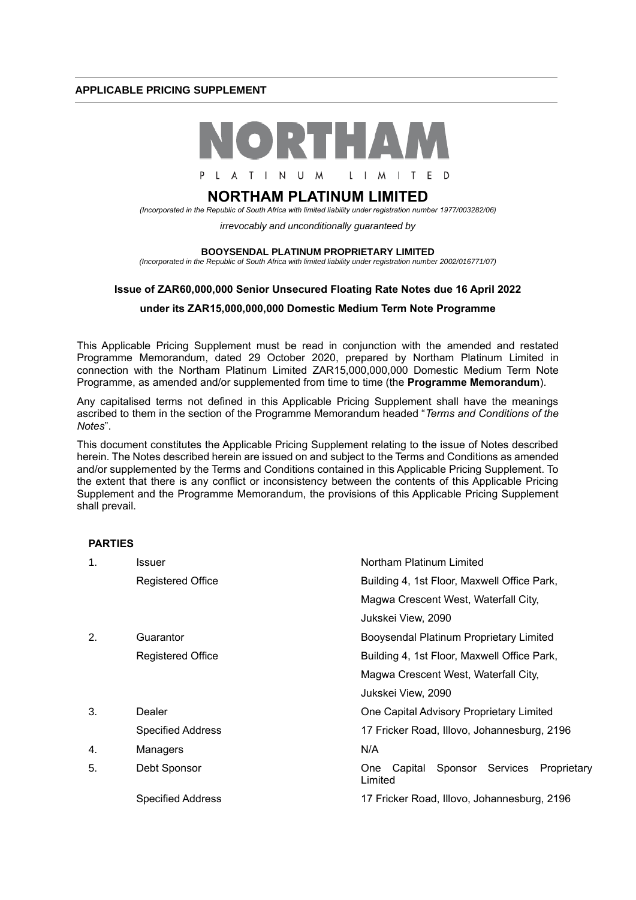# **APPLICABLE PRICING SUPPLEMENT**



L A T I N U M L I M I T E D

# **NORTHAM PLATINUM LIMITED**

*(Incorporated in the Republic of South Africa with limited liability under registration number 1977/003282/06)*

*irrevocably and unconditionally guaranteed by* 

#### **BOOYSENDAL PLATINUM PROPRIETARY LIMITED**

*(Incorporated in the Republic of South Africa with limited liability under registration number 2002/016771/07)*

# **Issue of ZAR60,000,000 Senior Unsecured Floating Rate Notes due 16 April 2022**

# **under its ZAR15,000,000,000 Domestic Medium Term Note Programme**

This Applicable Pricing Supplement must be read in conjunction with the amended and restated Programme Memorandum, dated 29 October 2020, prepared by Northam Platinum Limited in connection with the Northam Platinum Limited ZAR15,000,000,000 Domestic Medium Term Note Programme, as amended and/or supplemented from time to time (the **Programme Memorandum**).

Any capitalised terms not defined in this Applicable Pricing Supplement shall have the meanings ascribed to them in the section of the Programme Memorandum headed "*Terms and Conditions of the Notes*".

This document constitutes the Applicable Pricing Supplement relating to the issue of Notes described herein. The Notes described herein are issued on and subject to the Terms and Conditions as amended and/or supplemented by the Terms and Conditions contained in this Applicable Pricing Supplement. To the extent that there is any conflict or inconsistency between the contents of this Applicable Pricing Supplement and the Programme Memorandum, the provisions of this Applicable Pricing Supplement shall prevail.

## **PARTIES**

| $\mathbf 1$ . | Issuer                   | Northam Platinum Limited                                               |
|---------------|--------------------------|------------------------------------------------------------------------|
|               | <b>Registered Office</b> | Building 4, 1st Floor, Maxwell Office Park,                            |
|               |                          | Magwa Crescent West, Waterfall City,                                   |
|               |                          | Jukskei View, 2090                                                     |
| 2.            | Guarantor                | Booysendal Platinum Proprietary Limited                                |
|               | <b>Registered Office</b> | Building 4, 1st Floor, Maxwell Office Park,                            |
|               |                          | Magwa Crescent West, Waterfall City,                                   |
|               |                          | Jukskei View, 2090                                                     |
| 3.            | Dealer                   | One Capital Advisory Proprietary Limited                               |
|               | <b>Specified Address</b> | 17 Fricker Road, Illovo, Johannesburg, 2196                            |
| 4.            | Managers                 | N/A                                                                    |
| 5.            | Debt Sponsor             | Sponsor<br>Services<br>Proprietary<br>Capital<br><b>One</b><br>Limited |
|               | <b>Specified Address</b> | 17 Fricker Road, Illovo, Johannesburg, 2196                            |
|               |                          |                                                                        |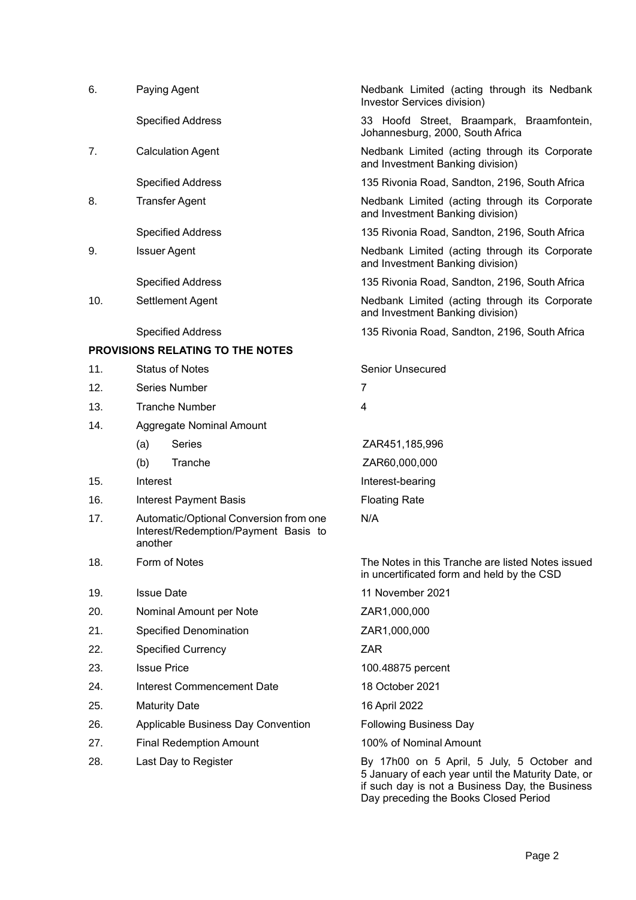| 6.  | Paying Agent                                                                              | Nedbank Limited (acting through its Nedbank<br>Investor Services division)                      |
|-----|-------------------------------------------------------------------------------------------|-------------------------------------------------------------------------------------------------|
|     | <b>Specified Address</b>                                                                  | 33 Hoofd Street, Braampark, Braamfontein,<br>Johannesburg, 2000, South Africa                   |
| 7.  | <b>Calculation Agent</b>                                                                  | Nedbank Limited (acting through its Corporate<br>and Investment Banking division)               |
|     | <b>Specified Address</b>                                                                  | 135 Rivonia Road, Sandton, 2196, South Africa                                                   |
| 8.  | <b>Transfer Agent</b>                                                                     | Nedbank Limited (acting through its Corporate<br>and Investment Banking division)               |
|     | <b>Specified Address</b>                                                                  | 135 Rivonia Road, Sandton, 2196, South Africa                                                   |
| 9.  | <b>Issuer Agent</b>                                                                       | Nedbank Limited (acting through its Corporate<br>and Investment Banking division)               |
|     | <b>Specified Address</b>                                                                  | 135 Rivonia Road, Sandton, 2196, South Africa                                                   |
| 10. | Settlement Agent                                                                          | Nedbank Limited (acting through its Corporate<br>and Investment Banking division)               |
|     | <b>Specified Address</b>                                                                  | 135 Rivonia Road, Sandton, 2196, South Africa                                                   |
|     | <b>PROVISIONS RELATING TO THE NOTES</b>                                                   |                                                                                                 |
| 11. | <b>Status of Notes</b>                                                                    | <b>Senior Unsecured</b>                                                                         |
| 12. | Series Number                                                                             | 7                                                                                               |
| 13. | <b>Tranche Number</b>                                                                     | 4                                                                                               |
| 14. | Aggregate Nominal Amount                                                                  |                                                                                                 |
|     | <b>Series</b><br>(a)                                                                      | ZAR451,185,996                                                                                  |
|     | Tranche<br>(b)                                                                            | ZAR60,000,000                                                                                   |
| 15. | Interest                                                                                  | Interest-bearing                                                                                |
| 16. | <b>Interest Payment Basis</b>                                                             | <b>Floating Rate</b>                                                                            |
| 17. | Automatic/Optional Conversion from one<br>Interest/Redemption/Payment Basis to<br>another | N/A                                                                                             |
| 18. | Form of Notes                                                                             | The Notes in this Tranche are listed Notes issued<br>in uncertificated form and held by the CSD |
| 19. | <b>Issue Date</b>                                                                         | 11 November 2021                                                                                |
| 20. | Nominal Amount per Note                                                                   | ZAR1,000,000                                                                                    |
| 21. | Specified Denomination                                                                    | ZAR1,000,000                                                                                    |
| 22. | <b>Specified Currency</b>                                                                 | <b>ZAR</b>                                                                                      |
| 23. | <b>Issue Price</b>                                                                        | 100.48875 percent                                                                               |
| 24. | <b>Interest Commencement Date</b>                                                         | 18 October 2021                                                                                 |
| 25. | <b>Maturity Date</b>                                                                      | 16 April 2022                                                                                   |
| 26. | Applicable Business Day Convention                                                        | <b>Following Business Day</b>                                                                   |
| 27. | <b>Final Redemption Amount</b>                                                            | 100% of Nominal Amount                                                                          |
| 28. | Last Day to Register                                                                      | By 17h00 on 5 April, 5 July, 5 October and                                                      |

5 January of each year until the Maturity Date, or if such day is not a Business Day, the Business Day preceding the Books Closed Period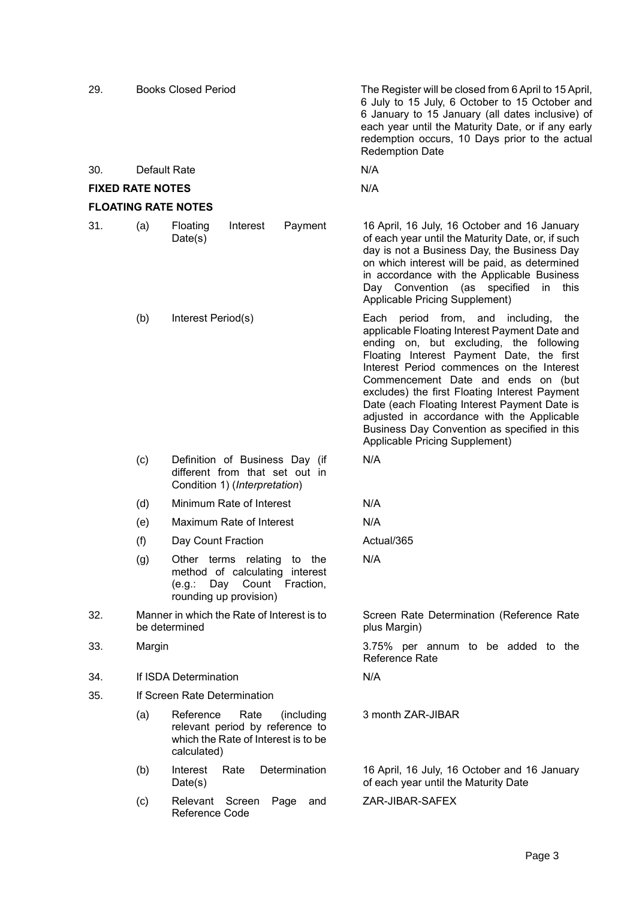| 29.                        |              | <b>Books Closed Period</b>                                                                                               | The Register will be closed from 6 April to 15 April,<br>6 July to 15 July, 6 October to 15 October and<br>6 January to 15 January (all dates inclusive) of<br>each year until the Maturity Date, or if any early<br>redemption occurs, 10 Days prior to the actual<br><b>Redemption Date</b>                                                                                                                                                                                                        |
|----------------------------|--------------|--------------------------------------------------------------------------------------------------------------------------|------------------------------------------------------------------------------------------------------------------------------------------------------------------------------------------------------------------------------------------------------------------------------------------------------------------------------------------------------------------------------------------------------------------------------------------------------------------------------------------------------|
| 30.                        | Default Rate |                                                                                                                          | N/A                                                                                                                                                                                                                                                                                                                                                                                                                                                                                                  |
| <b>FIXED RATE NOTES</b>    |              |                                                                                                                          | N/A                                                                                                                                                                                                                                                                                                                                                                                                                                                                                                  |
| <b>FLOATING RATE NOTES</b> |              |                                                                                                                          |                                                                                                                                                                                                                                                                                                                                                                                                                                                                                                      |
| 31.                        | (a)          | Payment<br>Floating<br>Interest<br>Date(s)                                                                               | 16 April, 16 July, 16 October and 16 January<br>of each year until the Maturity Date, or, if such<br>day is not a Business Day, the Business Day<br>on which interest will be paid, as determined<br>in accordance with the Applicable Business<br>Day Convention (as<br>specified<br>this<br>in<br>Applicable Pricing Supplement)                                                                                                                                                                   |
|                            | (b)          | Interest Period(s)                                                                                                       | Each period from, and including,<br>the<br>applicable Floating Interest Payment Date and<br>ending on, but excluding, the following<br>Floating Interest Payment Date, the first<br>Interest Period commences on the Interest<br>Commencement Date and ends on (but<br>excludes) the first Floating Interest Payment<br>Date (each Floating Interest Payment Date is<br>adjusted in accordance with the Applicable<br>Business Day Convention as specified in this<br>Applicable Pricing Supplement) |
|                            | (c)          | Definition of Business Day (if<br>different from that set out in<br>Condition 1) (Interpretation)                        | N/A                                                                                                                                                                                                                                                                                                                                                                                                                                                                                                  |
|                            | (d)          | Minimum Rate of Interest                                                                                                 | N/A                                                                                                                                                                                                                                                                                                                                                                                                                                                                                                  |
|                            | (e)          | Maximum Rate of Interest                                                                                                 | N/A                                                                                                                                                                                                                                                                                                                                                                                                                                                                                                  |
|                            | (f)          | Day Count Fraction                                                                                                       | Actual/365                                                                                                                                                                                                                                                                                                                                                                                                                                                                                           |
|                            | (g)          | Other terms relating to the<br>method of calculating interest<br>(e.g.: Day Count<br>Fraction,<br>rounding up provision) | N/A                                                                                                                                                                                                                                                                                                                                                                                                                                                                                                  |
| 32.                        |              | Manner in which the Rate of Interest is to<br>be determined                                                              | Screen Rate Determination (Reference Rate<br>plus Margin)                                                                                                                                                                                                                                                                                                                                                                                                                                            |
| 33.                        | Margin       |                                                                                                                          | 3.75% per annum to be added to the<br><b>Reference Rate</b>                                                                                                                                                                                                                                                                                                                                                                                                                                          |
| 34.                        |              | If ISDA Determination                                                                                                    | N/A                                                                                                                                                                                                                                                                                                                                                                                                                                                                                                  |
| 35.                        |              | If Screen Rate Determination                                                                                             |                                                                                                                                                                                                                                                                                                                                                                                                                                                                                                      |
|                            | (a)          | Reference<br>Rate<br>(including<br>relevant period by reference to<br>which the Rate of Interest is to be<br>calculated) | 3 month ZAR-JIBAR                                                                                                                                                                                                                                                                                                                                                                                                                                                                                    |
|                            | (b)          | Determination<br>Interest<br>Rate<br>Date(s)                                                                             | 16 April, 16 July, 16 October and 16 January<br>of each year until the Maturity Date                                                                                                                                                                                                                                                                                                                                                                                                                 |
|                            | (c)          | Relevant Screen<br>Page<br>and<br>Reference Code                                                                         | ZAR-JIBAR-SAFEX                                                                                                                                                                                                                                                                                                                                                                                                                                                                                      |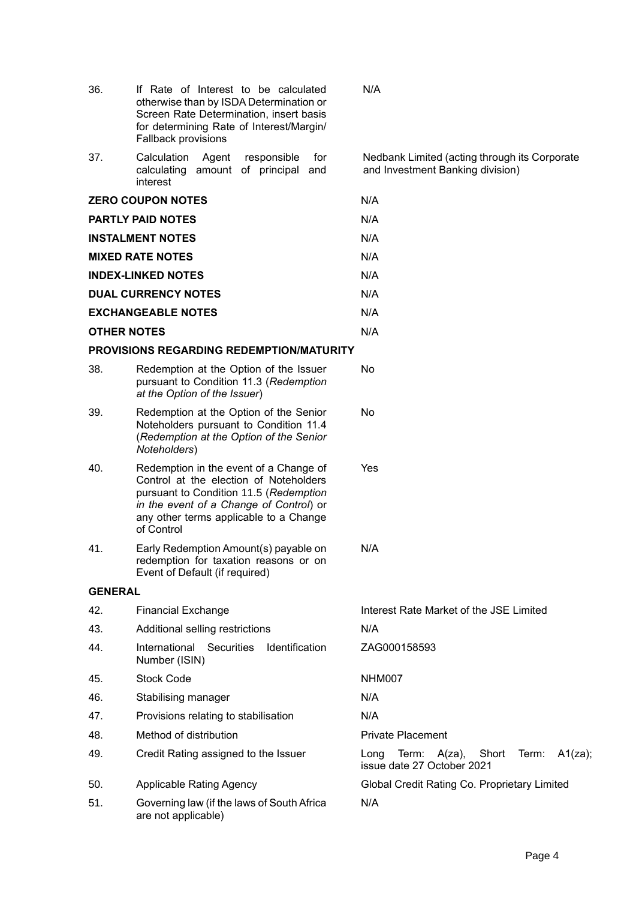| 36.                | If Rate of Interest to be calculated<br>otherwise than by ISDA Determination or<br>Screen Rate Determination, insert basis<br>for determining Rate of Interest/Margin/<br>Fallback provisions                                 | N/A                                                                                |  |  |
|--------------------|-------------------------------------------------------------------------------------------------------------------------------------------------------------------------------------------------------------------------------|------------------------------------------------------------------------------------|--|--|
| 37.                | Calculation<br>Agent<br>responsible<br>for<br>amount of principal<br>calculating<br>and<br>interest                                                                                                                           | Nedbank Limited (acting through its Corporate<br>and Investment Banking division)  |  |  |
|                    | <b>ZERO COUPON NOTES</b>                                                                                                                                                                                                      | N/A                                                                                |  |  |
|                    | <b>PARTLY PAID NOTES</b>                                                                                                                                                                                                      | N/A                                                                                |  |  |
|                    | <b>INSTALMENT NOTES</b>                                                                                                                                                                                                       | N/A                                                                                |  |  |
|                    | <b>MIXED RATE NOTES</b>                                                                                                                                                                                                       | N/A                                                                                |  |  |
|                    | <b>INDEX-LINKED NOTES</b>                                                                                                                                                                                                     | N/A                                                                                |  |  |
|                    | <b>DUAL CURRENCY NOTES</b>                                                                                                                                                                                                    | N/A                                                                                |  |  |
|                    | <b>EXCHANGEABLE NOTES</b>                                                                                                                                                                                                     | N/A                                                                                |  |  |
| <b>OTHER NOTES</b> |                                                                                                                                                                                                                               | N/A                                                                                |  |  |
|                    | <b>PROVISIONS REGARDING REDEMPTION/MATURITY</b>                                                                                                                                                                               |                                                                                    |  |  |
| 38.                | Redemption at the Option of the Issuer<br>No<br>pursuant to Condition 11.3 (Redemption<br>at the Option of the Issuer)                                                                                                        |                                                                                    |  |  |
| 39.                | Redemption at the Option of the Senior<br>Noteholders pursuant to Condition 11.4<br>(Redemption at the Option of the Senior<br>Noteholders)                                                                                   | No                                                                                 |  |  |
| 40.                | Redemption in the event of a Change of<br>Control at the election of Noteholders<br>pursuant to Condition 11.5 (Redemption<br>in the event of a Change of Control) or<br>any other terms applicable to a Change<br>of Control | Yes                                                                                |  |  |
| 41.                | Early Redemption Amount(s) payable on<br>redemption for taxation reasons or on<br>Event of Default (if required)                                                                                                              | N/A                                                                                |  |  |
| <b>GENERAL</b>     |                                                                                                                                                                                                                               |                                                                                    |  |  |
| 42.                | <b>Financial Exchange</b>                                                                                                                                                                                                     | Interest Rate Market of the JSE Limited                                            |  |  |
| 43.                | Additional selling restrictions                                                                                                                                                                                               | N/A                                                                                |  |  |
| 44.                | International<br><b>Securities</b><br>Identification<br>Number (ISIN)                                                                                                                                                         | ZAG000158593                                                                       |  |  |
| 45.                | <b>Stock Code</b>                                                                                                                                                                                                             | NHM007                                                                             |  |  |
| 46.                | Stabilising manager                                                                                                                                                                                                           | N/A                                                                                |  |  |
| 47.                | Provisions relating to stabilisation                                                                                                                                                                                          | N/A                                                                                |  |  |
| 48.                | Method of distribution                                                                                                                                                                                                        | <b>Private Placement</b>                                                           |  |  |
| 49.                | Credit Rating assigned to the Issuer                                                                                                                                                                                          | A1(za);<br>Short<br>Long<br>Term:<br>A(za),<br>Term:<br>issue date 27 October 2021 |  |  |
| 50.                | <b>Applicable Rating Agency</b>                                                                                                                                                                                               | Global Credit Rating Co. Proprietary Limited                                       |  |  |
| 51.                | Governing law (if the laws of South Africa<br>are not applicable)                                                                                                                                                             | N/A                                                                                |  |  |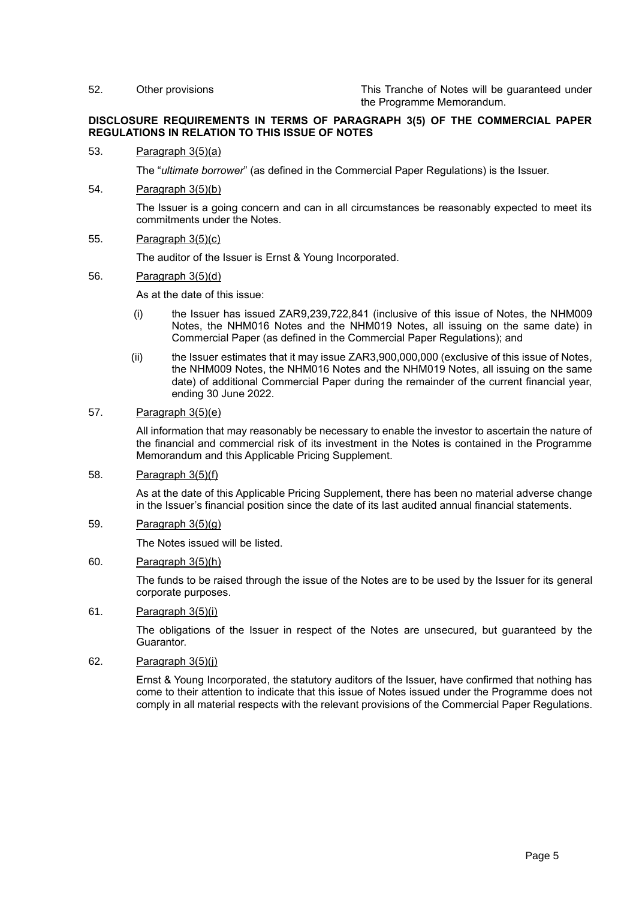52. Other provisions This Tranche of Notes will be guaranteed under the Programme Memorandum.

## **DISCLOSURE REQUIREMENTS IN TERMS OF PARAGRAPH 3(5) OF THE COMMERCIAL PAPER REGULATIONS IN RELATION TO THIS ISSUE OF NOTES**

#### 53. Paragraph 3(5)(a)

The "*ultimate borrower*" (as defined in the Commercial Paper Regulations) is the Issuer.

#### 54. Paragraph 3(5)(b)

The Issuer is a going concern and can in all circumstances be reasonably expected to meet its commitments under the Notes.

## 55. Paragraph 3(5)(c)

The auditor of the Issuer is Ernst & Young Incorporated.

#### 56. Paragraph 3(5)(d)

As at the date of this issue:

- (i) the Issuer has issued ZAR9,239,722,841 (inclusive of this issue of Notes, the NHM009 Notes, the NHM016 Notes and the NHM019 Notes, all issuing on the same date) in Commercial Paper (as defined in the Commercial Paper Regulations); and
- (ii) the Issuer estimates that it may issue ZAR3,900,000,000 (exclusive of this issue of Notes, the NHM009 Notes, the NHM016 Notes and the NHM019 Notes, all issuing on the same date) of additional Commercial Paper during the remainder of the current financial year, ending 30 June 2022.

# 57. Paragraph 3(5)(e)

All information that may reasonably be necessary to enable the investor to ascertain the nature of the financial and commercial risk of its investment in the Notes is contained in the Programme Memorandum and this Applicable Pricing Supplement.

# 58. Paragraph 3(5)(f)

As at the date of this Applicable Pricing Supplement, there has been no material adverse change in the Issuer's financial position since the date of its last audited annual financial statements.

## 59. Paragraph 3(5)(g)

The Notes issued will be listed.

# 60. Paragraph 3(5)(h)

The funds to be raised through the issue of the Notes are to be used by the Issuer for its general corporate purposes.

## 61. Paragraph 3(5)(i)

The obligations of the Issuer in respect of the Notes are unsecured, but guaranteed by the Guarantor.

# 62. Paragraph 3(5)(j)

Ernst & Young Incorporated, the statutory auditors of the Issuer, have confirmed that nothing has come to their attention to indicate that this issue of Notes issued under the Programme does not comply in all material respects with the relevant provisions of the Commercial Paper Regulations.